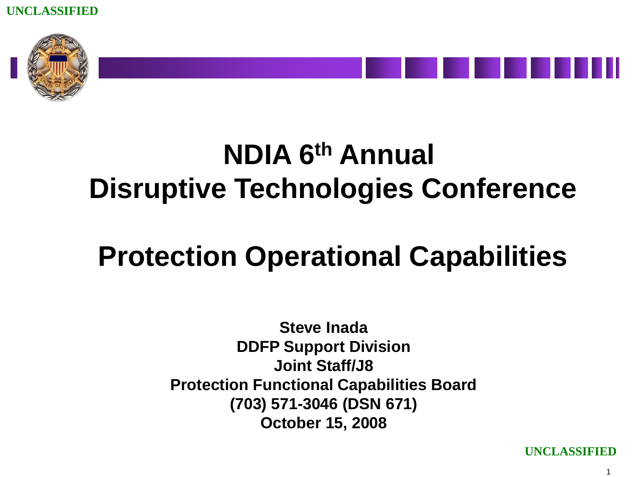



# **NDIA 6th Annual Disruptive Technologies Conference**

## **Protection Operational Capabilities**

**Steve Inada DDFP Support Division Joint Staff/J8 Protection Functional Capabilities Board (703) 571-3046 (DSN 671) October 15, 2008**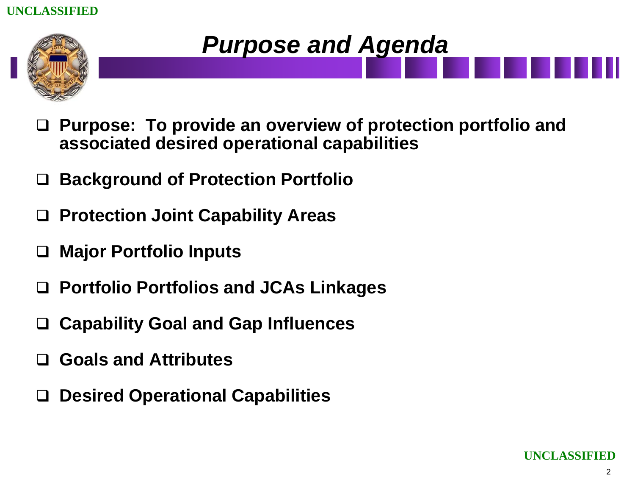

### *Purpose and Agenda*

- **Purpose: To provide an overview of protection portfolio and associated desired operational capabilities**
- **Background of Protection Portfolio**
- **Protection Joint Capability Areas**
- **Major Portfolio Inputs**
- **Portfolio Portfolios and JCAs Linkages**
- **Capability Goal and Gap Influences**
- **Goals and Attributes**
- **Desired Operational Capabilities**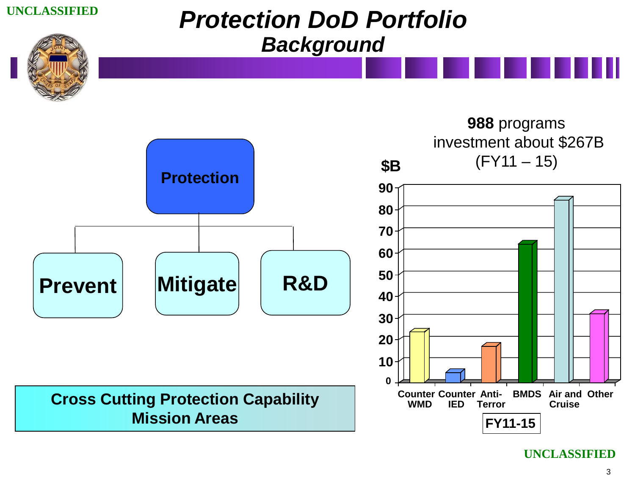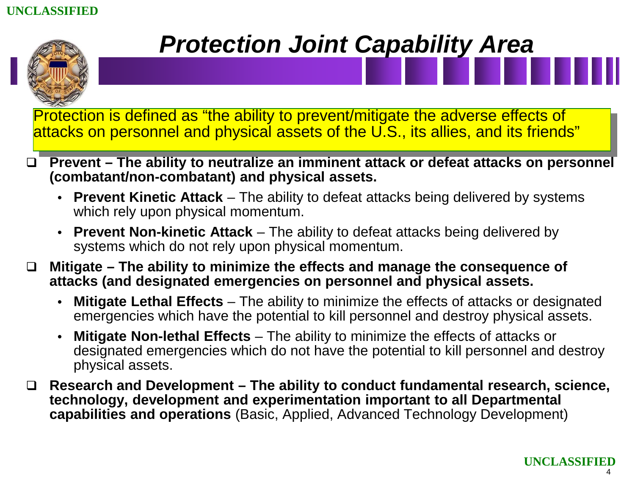

### *Protection Joint Capability Area*

Protection is defined as "the ability to prevent/mitigate the adverse effects of attacks on personnel and physical assets of the U.S., its allies, and its friends"

- **Prevent – The ability to neutralize an imminent attack or defeat attacks on personnel (combatant/non-combatant) and physical assets.**
	- **Prevent Kinetic Attack** The ability to defeat attacks being delivered by systems which rely upon physical momentum.
	- **Prevent Non-kinetic Attack** The ability to defeat attacks being delivered by systems which do not rely upon physical momentum.
- **Mitigate – The ability to minimize the effects and manage the consequence of attacks (and designated emergencies on personnel and physical assets.**
	- **Mitigate Lethal Effects** The ability to minimize the effects of attacks or designated emergencies which have the potential to kill personnel and destroy physical assets.
	- **Mitigate Non-lethal Effects** The ability to minimize the effects of attacks or designated emergencies which do not have the potential to kill personnel and destroy physical assets.
- **Research and Development – The ability to conduct fundamental research, science, technology, development and experimentation important to all Departmental capabilities and operations** (Basic, Applied, Advanced Technology Development)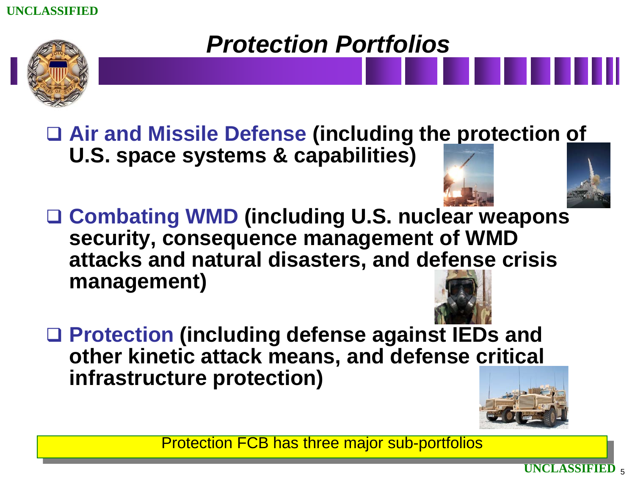

### *Protection Portfolios*

 **Air and Missile Defense (including the protection of U.S. space systems & capabilities)**

- **Combating WMD (including U.S. nuclear weapons security, consequence management of WMD attacks and natural disasters, and defense crisis management)**
- **Protection (including defense against IEDs and other kinetic attack means, and defense critical infrastructure protection)**

Protection FCB has three major sub-portfolios

5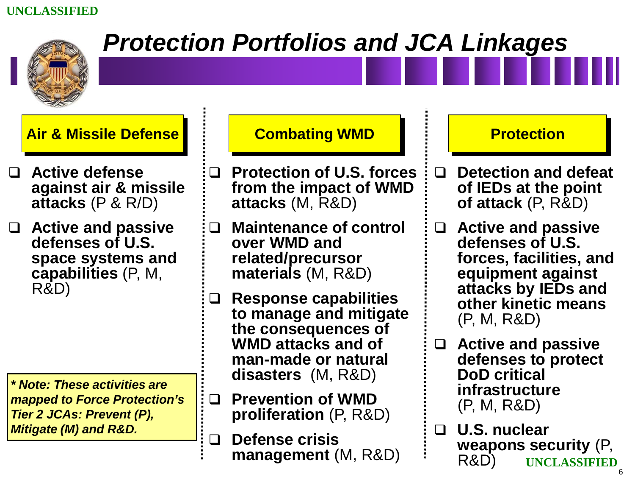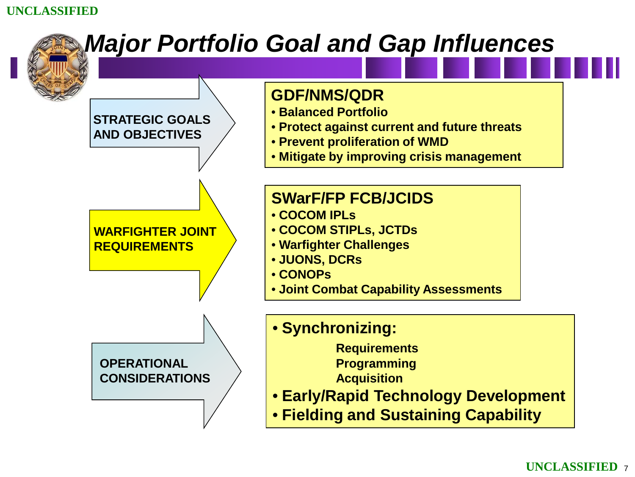

#### **UNCLASSIFIED** <sup>7</sup>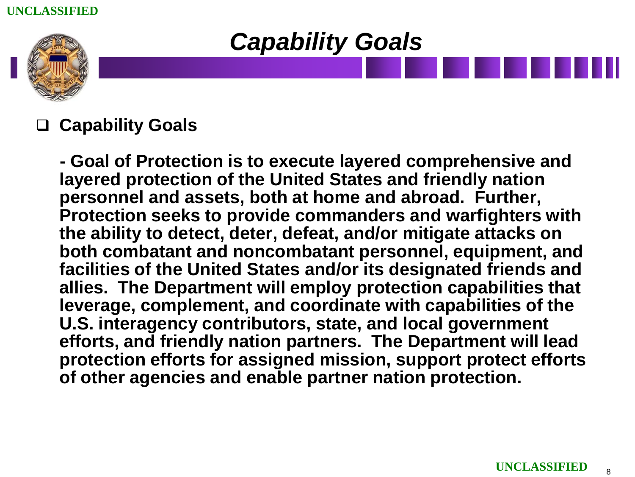



### **Capability Goals**

**- Goal of Protection is to execute layered comprehensive and layered protection of the United States and friendly nation personnel and assets, both at home and abroad. Further, Protection seeks to provide commanders and warfighters with the ability to detect, deter, defeat, and/or mitigate attacks on both combatant and noncombatant personnel, equipment, and facilities of the United States and/or its designated friends and allies. The Department will employ protection capabilities that leverage, complement, and coordinate with capabilities of the U.S. interagency contributors, state, and local government efforts, and friendly nation partners. The Department will lead protection efforts for assigned mission, support protect efforts of other agencies and enable partner nation protection.**

8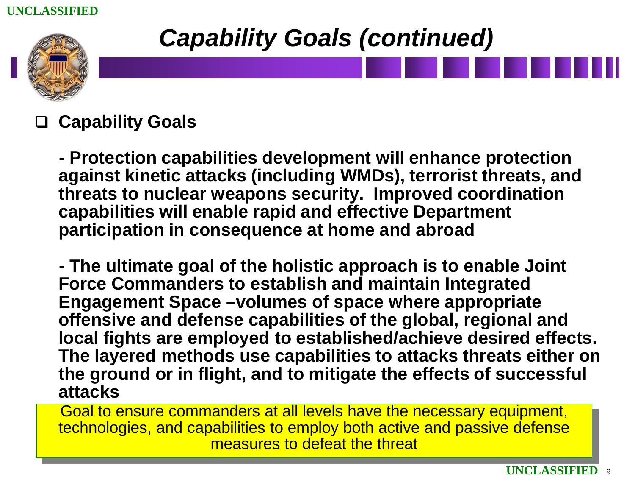

### *Capability Goals (continued)*

### **Capability Goals**

**- Protection capabilities development will enhance protection against kinetic attacks (including WMDs), terrorist threats, and threats to nuclear weapons security. Improved coordination capabilities will enable rapid and effective Department participation in consequence at home and abroad** 

**- The ultimate goal of the holistic approach is to enable Joint Force Commanders to establish and maintain Integrated Engagement Space –volumes of space where appropriate offensive and defense capabilities of the global, regional and local fights are employed to established/achieve desired effects. The layered methods use capabilities to attacks threats either on the ground or in flight, and to mitigate the effects of successful attacks**

Goal to ensure commanders at all levels have the necessary equipment, technologies, and capabilities to employ both active and passive defense measures to defeat the threat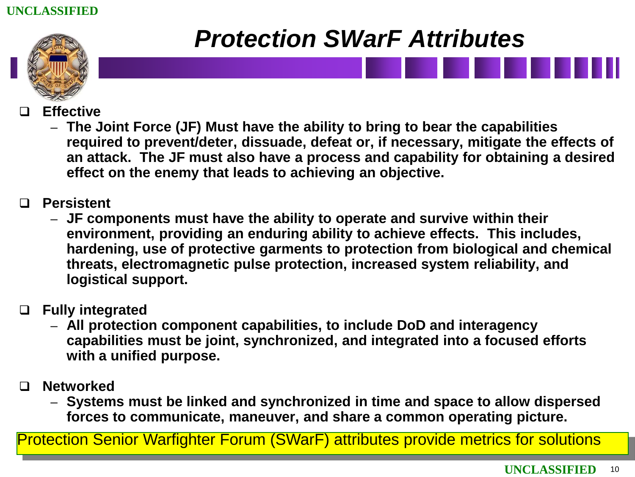

### *Protection SWarF Attributes*

- **Effective** 
	- **The Joint Force (JF) Must have the ability to bring to bear the capabilities required to prevent/deter, dissuade, defeat or, if necessary, mitigate the effects of an attack. The JF must also have a process and capability for obtaining a desired effect on the enemy that leads to achieving an objective.**
- **Persistent** 
	- **JF components must have the ability to operate and survive within their environment, providing an enduring ability to achieve effects. This includes, hardening, use of protective garments to protection from biological and chemical threats, electromagnetic pulse protection, increased system reliability, and logistical support.**
- **Fully integrated** 
	- **All protection component capabilities, to include DoD and interagency capabilities must be joint, synchronized, and integrated into a focused efforts with a unified purpose.**
- **Networked** 
	- **Systems must be linked and synchronized in time and space to allow dispersed forces to communicate, maneuver, and share a common operating picture.**

Protection Senior Warfighter Forum (SWarF) attributes provide metrics for solutions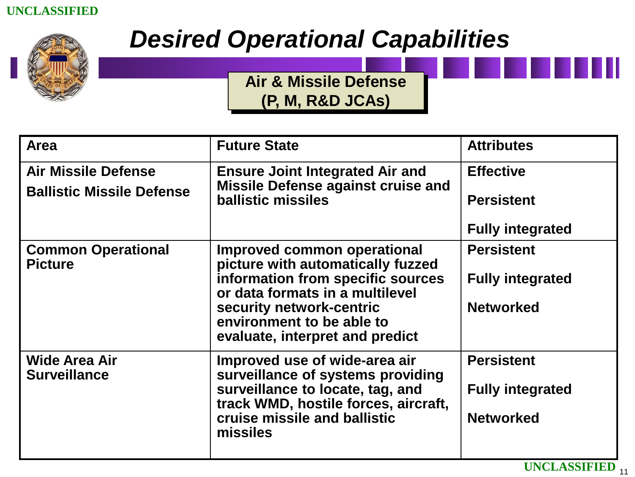<span id="page-10-0"></span>

### *Desired Operational Capabilities*

**[Air & Missile Defense](#page-10-0) (P, M, R&D JCAs)**

| <b>Area</b>                                 | <b>Future State</b>                                                                      | <b>Attributes</b>       |
|---------------------------------------------|------------------------------------------------------------------------------------------|-------------------------|
| <b>Air Missile Defense</b>                  | <b>Ensure Joint Integrated Air and</b>                                                   | <b>Effective</b>        |
| <b>Ballistic Missile Defense</b>            | <b>Missile Defense against cruise and</b><br><b>ballistic missiles</b>                   | <b>Persistent</b>       |
|                                             |                                                                                          | <b>Fully integrated</b> |
| <b>Common Operational</b><br><b>Picture</b> | Improved common operational<br>picture with automatically fuzzed                         | <b>Persistent</b>       |
|                                             | information from specific sources<br>or data formats in a multilevel                     | <b>Fully integrated</b> |
|                                             | security network-centric<br>environment to be able to<br>evaluate, interpret and predict | <b>Networked</b>        |
| Wide Area Air<br><b>Surveillance</b>        | Improved use of wide-area air<br>surveillance of systems providing                       | <b>Persistent</b>       |
|                                             | surveillance to locate, tag, and<br>track WMD, hostile forces, aircraft,                 | <b>Fully integrated</b> |
|                                             | cruise missile and ballistic<br>missiles                                                 | <b>Networked</b>        |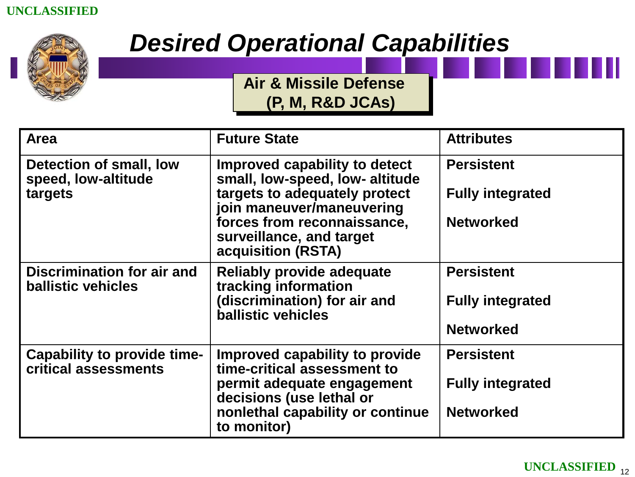<span id="page-11-0"></span>

### *Desired Operational Capabilities*

**[Air & Missile Defense](#page-10-0)  (P, M, R&D JCAs)**

| Area                                                      | <b>Future State</b>                                                                                                                                                                                             | <b>Attributes</b>                                                |
|-----------------------------------------------------------|-----------------------------------------------------------------------------------------------------------------------------------------------------------------------------------------------------------------|------------------------------------------------------------------|
| Detection of small, low<br>speed, low-altitude<br>targets | Improved capability to detect<br>small, low-speed, low- altitude<br>targets to adequately protect<br>join maneuver/maneuvering<br>forces from reconnaissance,<br>surveillance, and target<br>acquisition (RSTA) | <b>Persistent</b><br><b>Fully integrated</b><br><b>Networked</b> |
| Discrimination for air and<br><b>ballistic vehicles</b>   | <b>Reliably provide adequate</b><br>tracking information<br>(discrimination) for air and<br><b>ballistic vehicles</b>                                                                                           | <b>Persistent</b><br><b>Fully integrated</b><br><b>Networked</b> |
| Capability to provide time-<br>critical assessments       | Improved capability to provide<br>time-critical assessment to<br>permit adequate engagement<br>decisions (use lethal or<br>nonlethal capability or continue<br>to monitor)                                      | <b>Persistent</b><br><b>Fully integrated</b><br><b>Networked</b> |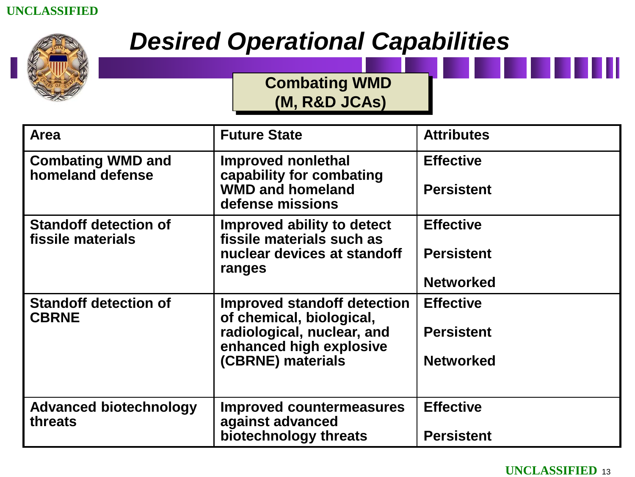<span id="page-12-0"></span>

### *Desired Operational Capabilities*

**[Combating WMD](#page-10-0)  (M, R&D JCAs)**

| Area                                              | <b>Future State</b>                                                                                                                   | <b>Attributes</b>                                         |
|---------------------------------------------------|---------------------------------------------------------------------------------------------------------------------------------------|-----------------------------------------------------------|
| <b>Combating WMD and</b><br>homeland defense      | Improved nonlethal<br>capability for combating<br><b>WMD and homeland</b><br>defense missions                                         | <b>Effective</b><br><b>Persistent</b>                     |
| <b>Standoff detection of</b><br>fissile materials | Improved ability to detect<br>fissile materials such as<br>nuclear devices at standoff<br>ranges                                      | <b>Effective</b><br><b>Persistent</b><br><b>Networked</b> |
| <b>Standoff detection of</b><br><b>CBRNE</b>      | Improved standoff detection<br>of chemical, biological,<br>radiological, nuclear, and<br>enhanced high explosive<br>(CBRNE) materials | <b>Effective</b><br><b>Persistent</b><br><b>Networked</b> |
| <b>Advanced biotechnology</b><br>threats          | <b>Improved countermeasures</b><br>against advanced<br>biotechnology threats                                                          | <b>Effective</b><br><b>Persistent</b>                     |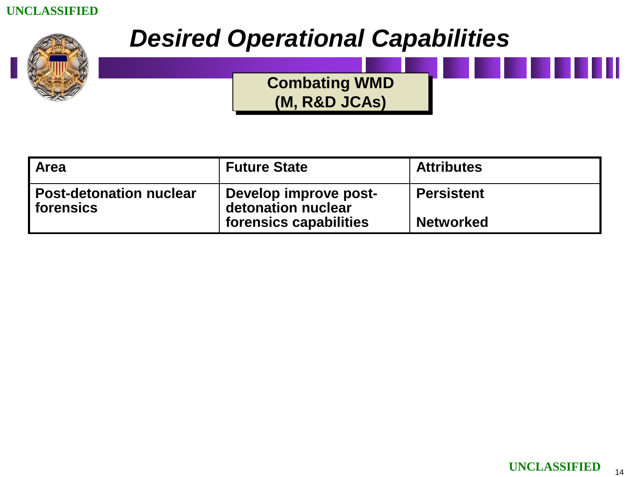

### *Desired Operational Capabilities*

**[Combating WMD](#page-10-0) (M, R&D JCAs)**

| <b>Area</b>                                 | <b>Future State</b>                         | <b>Attributes</b> |
|---------------------------------------------|---------------------------------------------|-------------------|
| <b>Post-detonation nuclear</b><br>forensics | Develop improve post-<br>detonation nuclear | <b>Persistent</b> |
|                                             | forensics capabilities                      | <b>Networked</b>  |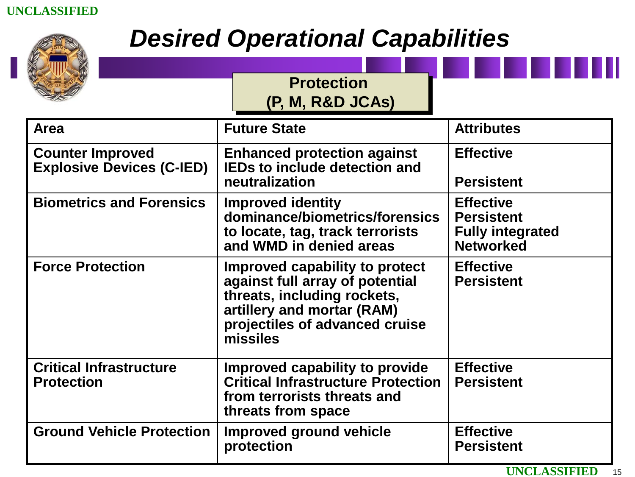

### *Desired Operational Capabilities*

**Protection** 

|                                                             | <b>TULGULIUI</b> I<br>(P. M. R&D JCAs)                                                                                                                                       |                                                                                      |
|-------------------------------------------------------------|------------------------------------------------------------------------------------------------------------------------------------------------------------------------------|--------------------------------------------------------------------------------------|
| <b>Area</b>                                                 | <b>Future State</b>                                                                                                                                                          | <b>Attributes</b>                                                                    |
| <b>Counter Improved</b><br><b>Explosive Devices (C-IED)</b> | <b>Enhanced protection against</b><br><b>IEDs to include detection and</b><br>neutralization                                                                                 | <b>Effective</b><br><b>Persistent</b>                                                |
| <b>Biometrics and Forensics</b>                             | <b>Improved identity</b><br>dominance/biometrics/forensics<br>to locate, tag, track terrorists<br>and WMD in denied areas                                                    | <b>Effective</b><br><b>Persistent</b><br><b>Fully integrated</b><br><b>Networked</b> |
| <b>Force Protection</b>                                     | Improved capability to protect<br>against full array of potential<br>threats, including rockets,<br>artillery and mortar (RAM)<br>projectiles of advanced cruise<br>missiles | <b>Effective</b><br><b>Persistent</b>                                                |
| <b>Critical Infrastructure</b><br><b>Protection</b>         | Improved capability to provide<br><b>Critical Infrastructure Protection</b><br>from terrorists threats and<br>threats from space                                             | <b>Effective</b><br><b>Persistent</b>                                                |
| <b>Ground Vehicle Protection</b>                            | Improved ground vehicle<br>protection                                                                                                                                        | <b>Effective</b><br><b>Persistent</b>                                                |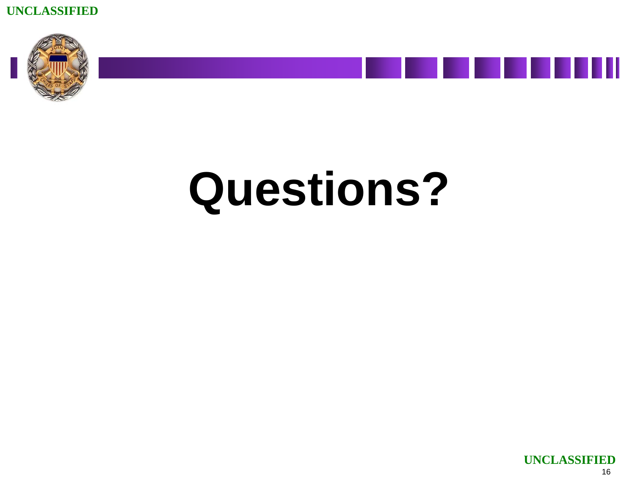





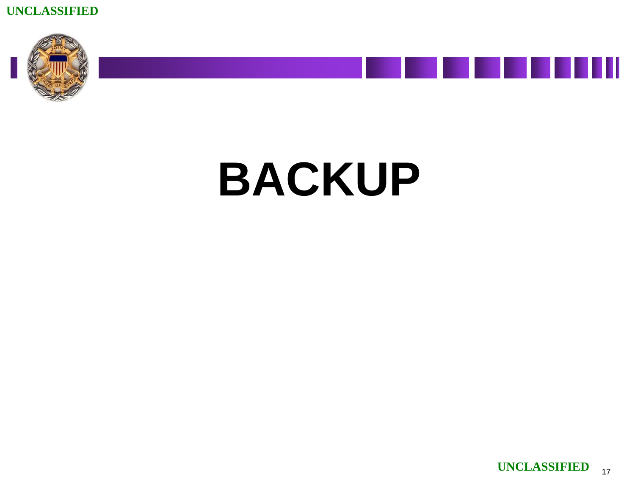







П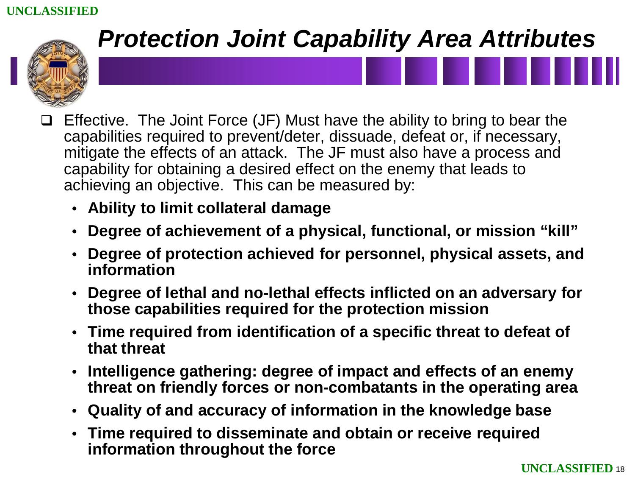

- Effective. The Joint Force (JF) Must have the ability to bring to bear the capabilities required to prevent/deter, dissuade, defeat or, if necessary, mitigate the effects of an attack. The JF must also have a process and capability for obtaining a desired effect on the enemy that leads to achieving an objective. This can be measured by:
	- **Ability to limit collateral damage**
	- **Degree of achievement of a physical, functional, or mission "kill"**
	- **Degree of protection achieved for personnel, physical assets, and information**
	- **Degree of lethal and no-lethal effects inflicted on an adversary for those capabilities required for the protection mission**
	- **Time required from identification of a specific threat to defeat of that threat**
	- **Intelligence gathering: degree of impact and effects of an enemy threat on friendly forces or non-combatants in the operating area**
	- **Quality of and accuracy of information in the knowledge base**
	- **Time required to disseminate and obtain or receive required information throughout the force**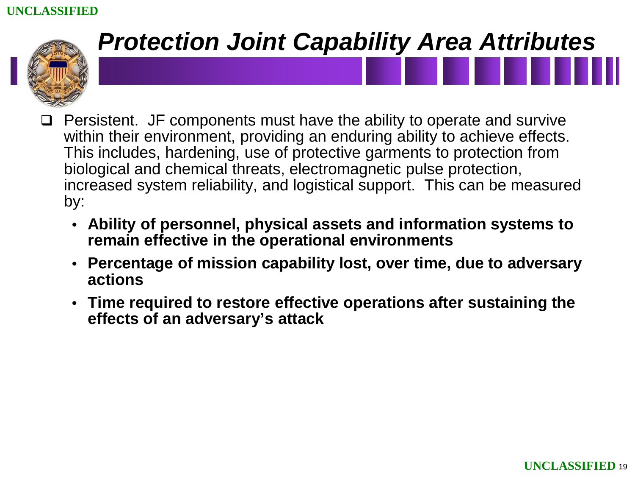

- Persistent. JF components must have the ability to operate and survive within their environment, providing an enduring ability to achieve effects. This includes, hardening, use of protective garments to protection from biological and chemical threats, electromagnetic pulse protection, increased system reliability, and logistical support. This can be measured by:
	- **Ability of personnel, physical assets and information systems to remain effective in the operational environments**
	- **Percentage of mission capability lost, over time, due to adversary actions**
	- **Time required to restore effective operations after sustaining the effects of an adversary's attack**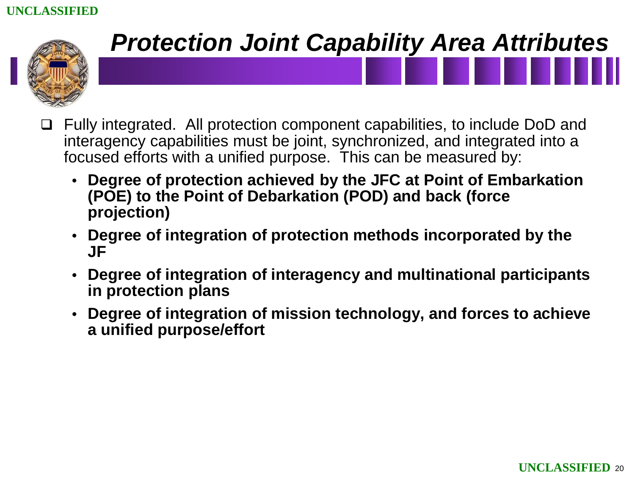

- Fully integrated. All protection component capabilities, to include DoD and interagency capabilities must be joint, synchronized, and integrated into a focused efforts with a unified purpose. This can be measured by:
	- **Degree of protection achieved by the JFC at Point of Embarkation (POE) to the Point of Debarkation (POD) and back (force projection)**
	- **Degree of integration of protection methods incorporated by the JF**
	- **Degree of integration of interagency and multinational participants in protection plans**
	- **Degree of integration of mission technology, and forces to achieve a unified purpose/effort**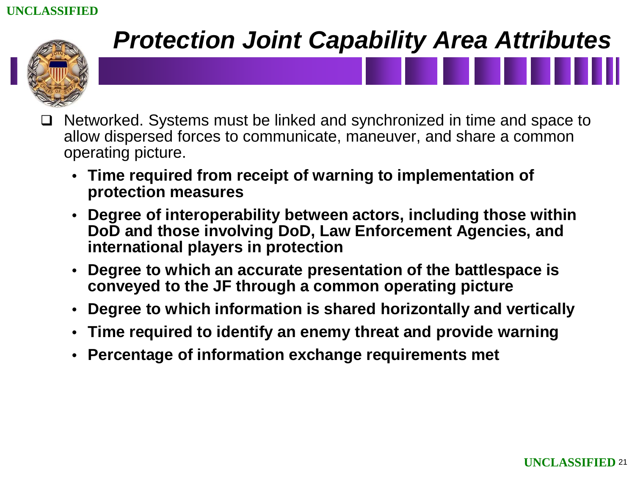

- Networked. Systems must be linked and synchronized in time and space to allow dispersed forces to communicate, maneuver, and share a common operating picture.
	- **Time required from receipt of warning to implementation of protection measures**
	- **Degree of interoperability between actors, including those within DoD and those involving DoD, Law Enforcement Agencies, and international players in protection**
	- **Degree to which an accurate presentation of the battlespace is conveyed to the JF through a common operating picture**
	- **Degree to which information is shared horizontally and vertically**
	- **Time required to identify an enemy threat and provide warning**
	- **Percentage of information exchange requirements met**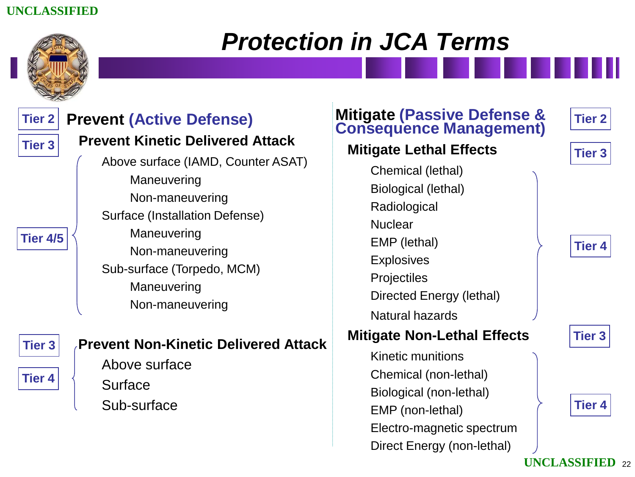

### *Protection in JCA Terms*

| <b>Tier 2</b><br><b>Tier 3</b><br><b>Tier 4/5</b> | <b>Prevent (Active Defense)</b><br><b>Prevent Kinetic Delivered Attack</b><br>Above surface (IAMD, Counter ASAT)<br>Maneuvering<br>Non-maneuvering<br>Surface (Installation Defense)<br>Maneuvering<br>Non-maneuvering<br>Sub-surface (Torpedo, MCM)<br>Maneuvering<br>Non-maneuvering | <b>Mitigate (Passive Defense &amp; Consequence Management)</b><br><b>Mitigate Lethal Effects</b><br>Chemical (lethal)<br>Biological (lethal)<br>Radiological<br><b>Nuclear</b><br>EMP (lethal)<br><b>Explosives</b><br>Projectiles<br>Directed Energy (lethal)<br><b>Natural hazards</b> | <b>Tier 2</b><br><b>Tier 3</b><br><b>Tier 4</b> |
|---------------------------------------------------|----------------------------------------------------------------------------------------------------------------------------------------------------------------------------------------------------------------------------------------------------------------------------------------|------------------------------------------------------------------------------------------------------------------------------------------------------------------------------------------------------------------------------------------------------------------------------------------|-------------------------------------------------|
| <b>Tier 3</b><br><b>Tier 4</b>                    | <b>Prevent Non-Kinetic Delivered Attack</b><br>Above surface<br>Surface<br>Sub-surface                                                                                                                                                                                                 | <b>Mitigate Non-Lethal Effects</b><br><b>Kinetic munitions</b><br>Chemical (non-lethal)<br>Biological (non-lethal)<br>EMP (non-lethal)<br>Electro-magnetic spectrum<br>Direct Energy (non-lethal)                                                                                        | <b>Tier 3</b><br><b>Tier 4</b>                  |
|                                                   |                                                                                                                                                                                                                                                                                        |                                                                                                                                                                                                                                                                                          | <b>UNCLASSIFIED 22</b>                          |